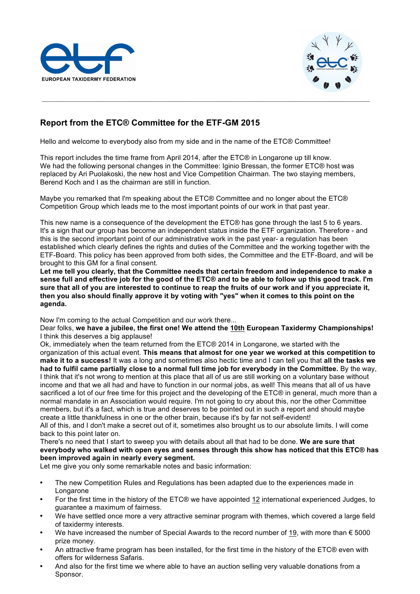



## **Report from the ETC® Committee for the ETF-GM 2015**

Hello and welcome to everybody also from my side and in the name of the ETC® Committee!

This report includes the time frame from April 2014, after the ETC® in Longarone up till know. We had the following personal changes in the Committee: Iginio Bressan, the former ETC® host was replaced by Ari Puolakoski, the new host and Vice Competition Chairman. The two staying members, Berend Koch and I as the chairman are still in function.

Maybe you remarked that I'm speaking about the ETC® Committee and no longer about the ETC® Competition Group which leads me to the most important points of our work in that past year.

This new name is a consequence of the development the ETC® has gone through the last 5 to 6 years. It's a sign that our group has become an independent status inside the ETF organization. Therefore - and this is the second important point of our administrative work in the past year- a regulation has been established which clearly defines the rights and duties of the Committee and the working together with the ETF-Board. This policy has been approved from both sides, the Committee and the ETF-Board, and will be brought to this GM for a final consent.

**Let me tell you clearly, that the Committee needs that certain freedom and independence to make a sense full and effective job for the good of the ETC® and to be able to follow up this good track. I'm sure that all of you are interested to continue to reap the fruits of our work and if you appreciate it, then you also should finally approve it by voting with "yes" when it comes to this point on the agenda.**

Now I'm coming to the actual Competition and our work there...

Dear folks, **we have a jubilee, the first one! We attend the 10th European Taxidermy Championships!** I think this deserves a big applause!

Ok, immediately when the team returned from the ETC® 2014 in Longarone, we started with the organization of this actual event. **This means that almost for one year we worked at this competition to make it to a success!** It was a long and sometimes also hectic time and I can tell you that **all the tasks we had to fulfil came partially close to a normal full time job for everybody in the Committee.** By the way, I think that it's not wrong to mention at this place that all of us are still working on a voluntary base without income and that we all had and have to function in our normal jobs, as well! This means that all of us have sacrificed a lot of our free time for this project and the developing of the ETC® in general, much more than a normal mandate in an Association would require. I'm not going to cry about this, nor the other Committee members, but it's a fact, which is true and deserves to be pointed out in such a report and should maybe create a little thankfulness in one or the other brain, because it's by far not self-evident! All of this, and I don't make a secret out of it, sometimes also brought us to our absolute limits. I will come

back to this point later on. There's no need that I start to sweep you with details about all that had to be done. **We are sure that everybody who walked with open eyes and senses through this show has noticed that this ETC® has been improved again in nearly every segment.**

Let me give you only some remarkable notes and basic information:

- The new Competition Rules and Regulations has been adapted due to the experiences made in Longarone
- For the first time in the history of the ETC® we have appointed 12 international experienced Judges, to guarantee a maximum of fairness.
- We have settled once more a very attractive seminar program with themes, which covered a large field of taxidermy interests.
- We have increased the number of Special Awards to the record number of 19, with more than  $\epsilon$  5000 prize money.
- An attractive frame program has been installed, for the first time in the history of the ETC® even with offers for wilderness Safaris.
- And also for the first time we where able to have an auction selling very valuable donations from a Sponsor.